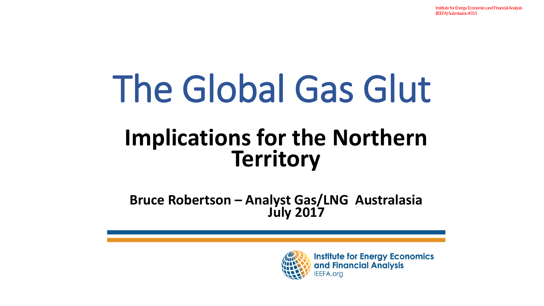# The Global Gas Glut

#### **Implications for the Northern Territory**

**Bruce Robertson – Analyst Gas/LNG Australasia July 2017**



**Institute for Energy Economics** and Financial Analysis **EEFA.org**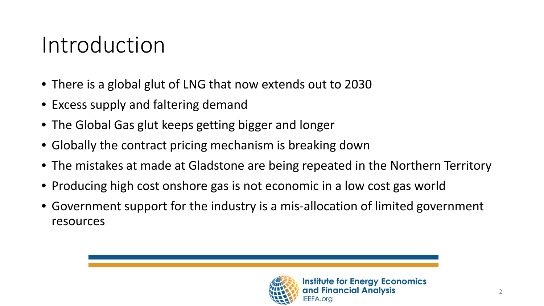#### Introduction

- There is a global glut of LNG that now extends out to 2030
- Excess supply and faltering demand
- The Global Gas glut keeps getting bigger and longer
- Globally the contract pricing mechanism is breaking down
- The mistakes at made at Gladstone are being repeated in the Northern Territory
- Producing high cost onshore gas is not economic in a low cost gas world
- Government support for the industry is a mis-allocation of limited government resources

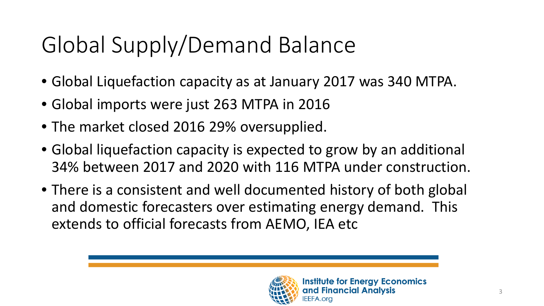# Global Supply/Demand Balance

- Global Liquefaction capacity as at January 2017 was 340 MTPA.
- Global imports were just 263 MTPA in 2016
- The market closed 2016 29% oversupplied.
- Global liquefaction capacity is expected to grow by an additional 34% between 2017 and 2020 with 116 MTPA under construction.
- There is a consistent and well documented history of both global and domestic forecasters over estimating energy demand. This extends to official forecasts from AEMO, IEA etc

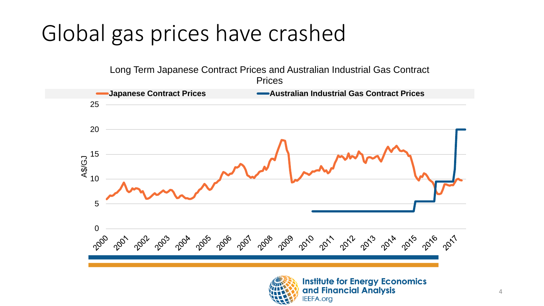#### Global gas prices have crashed





**Institute for Energy Economics** and Financial Analysis **IEEFA.org**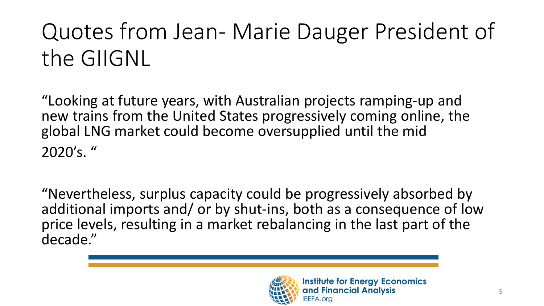# Quotes from Jean- Marie Dauger President of the GIIGNL

"Looking at future years, with Australian projects ramping-up and new trains from the United States progressively coming online, the global LNG market could become oversupplied until the mid 2020's. "

"Nevertheless, surplus capacity could be progressively absorbed by additional imports and/ or by shut-ins, both as a consequence of low price levels, resulting in a market rebalancing in the last part of the decade."

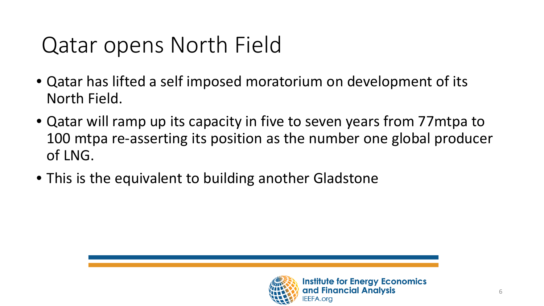#### Qatar opens North Field

- Qatar has lifted a self imposed moratorium on development of its North Field.
- Qatar will ramp up its capacity in five to seven years from 77mtpa to 100 mtpa re-asserting its position as the number one global producer of LNG.
- This is the equivalent to building another Gladstone

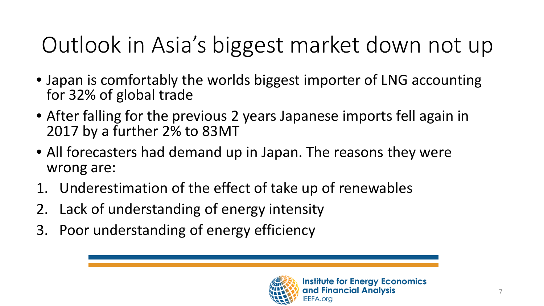# Outlook in Asia's biggest market down not up

- Japan is comfortably the worlds biggest importer of LNG accounting for 32% of global trade
- After falling for the previous 2 years Japanese imports fell again in 2017 by a further 2% to 83MT
- All forecasters had demand up in Japan. The reasons they were wrong are:
- 1. Underestimation of the effect of take up of renewables
- 2. Lack of understanding of energy intensity
- 3. Poor understanding of energy efficiency

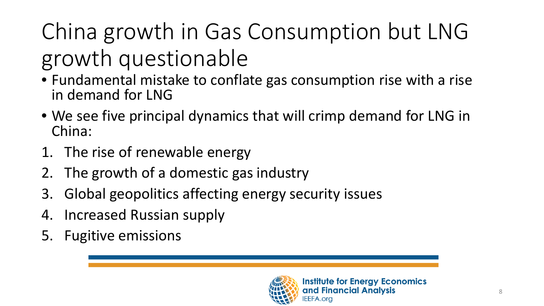# China growth in Gas Consumption but LNG growth questionable

- Fundamental mistake to conflate gas consumption rise with a rise in demand for LNG
- We see five principal dynamics that will crimp demand for LNG in China:
- 1. The rise of renewable energy
- 2. The growth of a domestic gas industry
- 3. Global geopolitics affecting energy security issues
- 4. Increased Russian supply
- 5. Fugitive emissions

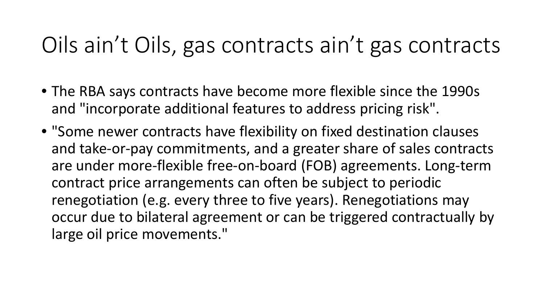#### Oils ain't Oils, gas contracts ain't gas contracts

- The RBA says contracts have become more flexible since the 1990s and "incorporate additional features to address pricing risk".
- "Some newer contracts have flexibility on fixed destination clauses and take-or-pay commitments, and a greater share of sales contracts are under more-flexible free-on-board (FOB) agreements. Long-term contract price arrangements can often be subject to periodic renegotiation (e.g. every three to five years). Renegotiations may occur due to bilateral agreement or can be triggered contractually by large oil price movements."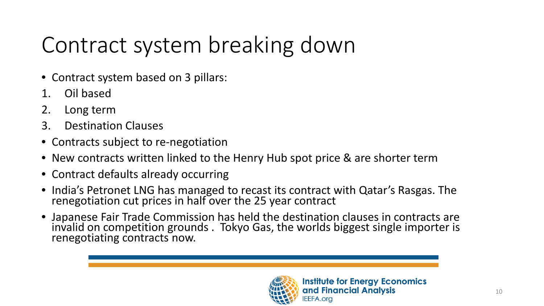# Contract system breaking down

- Contract system based on 3 pillars:
- 1. Oil based
- 2. Long term
- 3. Destination Clauses
- Contracts subject to re-negotiation
- New contracts written linked to the Henry Hub spot price & are shorter term
- Contract defaults already occurring
- India's Petronet LNG has managed to recast its contract with Qatar's Rasgas. The renegotiation cut prices in half over the 25 year contract
- Japanese Fair Trade Commission has held the destination clauses in contracts are invalid on competition grounds . Tokyo Gas, the worlds biggest single importer is renegotiating contracts now.

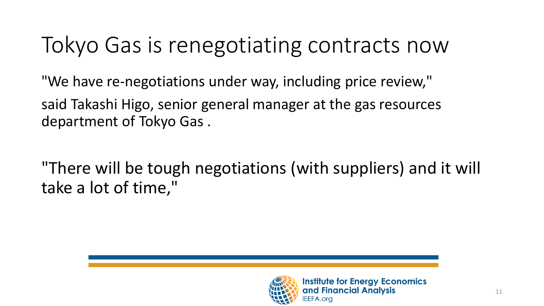#### Tokyo Gas is renegotiating contracts now

"We have re-negotiations under way, including price review," said Takashi Higo, senior general manager at the gas resources department of Tokyo Gas .

"There will be tough negotiations (with suppliers) and it will take a lot of time,"

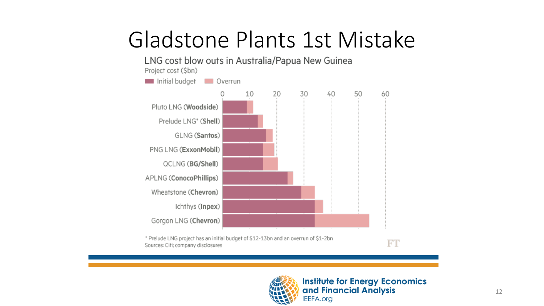#### Gladstone Plants 1st Mistake



\* Prelude LNG project has an initial budget of \$12-13bn and an overrun of \$1-2bn Sources: Citi; company disclosures



**Institute for Energy Economics** and Financial Analysis **IEEFA.org** 

 $\overline{\mathbf{F}}$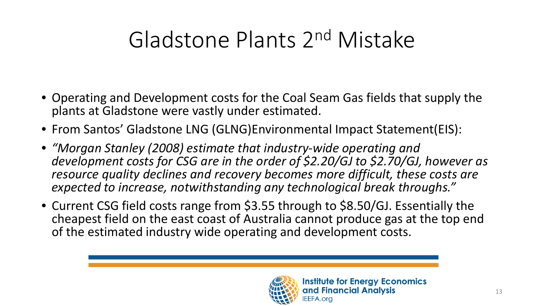# Gladstone Plants 2nd Mistake

- Operating and Development costs for the Coal Seam Gas fields that supply the plants at Gladstone were vastly under estimated.
- From Santos' Gladstone LNG (GLNG)Environmental Impact Statement(EIS):
- *"Morgan Stanley (2008) estimate that industry-wide operating and development costs for CSG are in the order of \$2.20/GJ to \$2.70/GJ, however as resource quality declines and recovery becomes more difficult, these costs are expected to increase, notwithstanding any technological break throughs."*
- Current CSG field costs range from \$3.55 through to \$8.50/GJ. Essentially the cheapest field on the east coast of Australia cannot produce gas at the top end of the estimated industry wide operating and development costs.

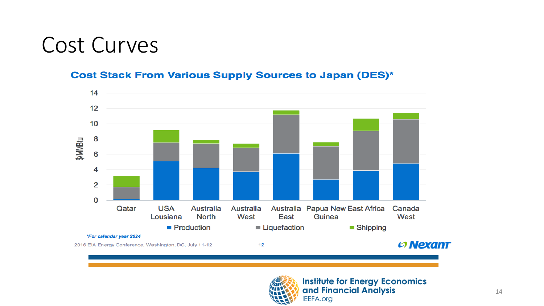#### Cost Curves

#### **Cost Stack From Various Supply Sources to Japan (DES)\***



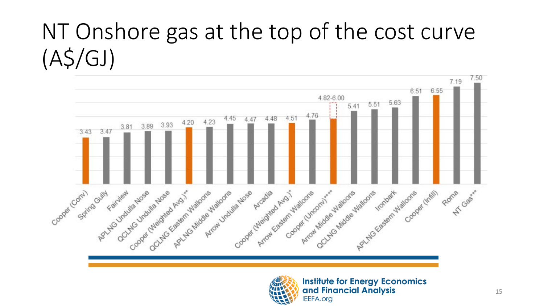# NT Onshore gas at the top of the cost curve (A\$/GJ)





**Institute for Energy Economics** and Financial Analysis **IEEFA.org**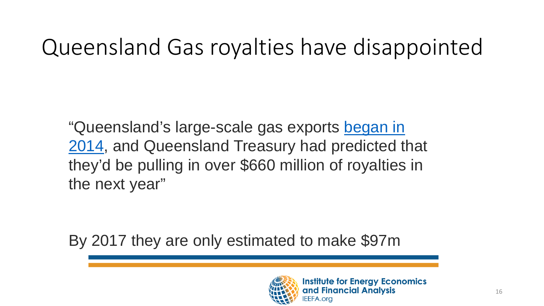#### Queensland Gas royalties have disappointed

"Queensland's large-scale gas exports began in [2014, and Queensland Treasury had predicted t](http://www.abc.net.au/news/2014-12-30/first-shipment-of-lng-to-leave-gladstone-bound-for-asia/5992840)hat they'd be pulling in over \$660 million of royalties in the next year"

By 2017 they are only estimated to make \$97m